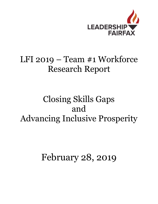

# LFI 2019 – Team #1 Workforce Research Report

# Closing Skills Gaps and Advancing Inclusive Prosperity

February 28, 2019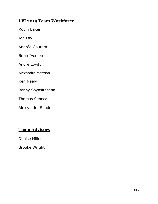## **LFI 2019 Team Workforce**

Robin Baker

Joe Fay

Andréa Goutam

Brian Iverson

Andre Lovitt

Alexandra Mattson

Ken Neely

Benny Sayasithsena

Thomas Seneca

Alexzandra Shade

### **Team Advisors**

Denise Miller

Brooke Wright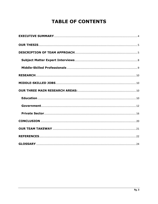# **TABLE OF CONTENTS**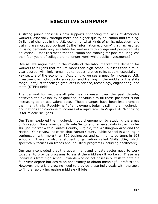# **EXECUTIVE SUMMARY**

<span id="page-3-0"></span>A strong public consensus now supports enhancing the skills of America's workers, especially through more and higher-quality education and training. In light of changes in the U.S. economy, what kinds of skills, education, and training are most appropriate? Is the "information economy" that has resulted in rising demands only available for workers with college and post-graduate education? Does this mean that education and training for jobs requiring less than four years of college are no longer worthwhile public investments?

Overall, we argue that, in the middle of the labor market, the demand for workers to fill jobs that require more than high-school, but less than a fouryear degree, will likely remain quite robust relative to its supply, especially in key sectors of the economy. Accordingly, we see a need for increased U.S. investment in high-quality education and training in the middle of the skills range—not just for college graduates in science, technology, engineering, and math (STEM) fields.

The demand for middle-skill jobs has increased over the past decade; however, the availability of qualified individuals to fill these positions is not increasing at an equivalent pace. These changes have been less dramatic than many think. Roughly half of employment today is still in the middle-skill occupations and continue to increase at a rapid rate. In Virginia, 46% of hiring is for middle-skill jobs.

Our Team explored the middle-skill jobs phenomenon by studying the areas of Education, Government and Private Sector and reviewed data in the middleskill job market within Fairfax County, Virginia, the Washington Area and the Nation. Our review indicated that Fairfax County Public School is working in conjunction with more than 300 businesses and community partners in 198 schools. There is also a student organization called Skills USA, which specifically focuses on trades and industrial programs (including healthcare).

Our team concluded that the government and private sector need to work together to provide programs to assist the middle-skill workers. These are individuals from high school upwards who do not possess or wish to obtain a four-year degree but desire an opportunity to obtain meaningful professions. However, there is a growing need to provide these individuals with the tools to fill the rapidly increasing middle-skill jobs.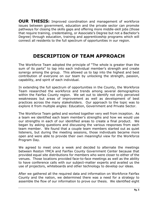<span id="page-4-0"></span>**OUR THESIS:** Improved coordination and management of workforce issues between government, education and the private sector can promote pathways for closing the skills gaps and offering more middle-skill jobs (those that require training, credentialing, or Associate's Degree but not a Bachelor's Degree) through education, training and apprenticeship programs which will connect all residents to the full spectrum of opportunities in our region.

# **DESCRIPTION OF TEAM APPROACH**

<span id="page-4-1"></span>The Workforce Team adopted the principle of "The whole is greater than the sum of its parts" to tap into each individual member's strength and create synergy among the group. This allowed us to tap into the highest and best contribution of everyone on our team by unlocking the strength, passion, capability, and spirit of each individual.

In extending the full spectrum of opportunities in the County, the Workforce Team researched the workforce and trends among several demographics within the Fairfax County region. We set out to identify not only perceived weaknesses but areas of improvement as well as development of best practices across the many stakeholders. Our approach to the topic was to explore it from multiple angles: Education, Government and Private Sector.

The Workforce Team gelled and worked together very well from inception. As a team we identified each team member's strengths and how we would use our strengths in each of our identified areas to create a final product. We began by asking questions and discussing the various responses from each team member. We found that a couple team members started out as quiet listeners, but during the meeting sessions, those individuals became more open and were able to provide their own meaningful view for the Workforce Program Day.

We agreed to meet once a week and decided to alternate the meetings between Reston YMCA and Fairfax County Government Center because that provided equal site distributions for members who were closer to either of the venues. Those locations provided face-to-face meetings as well as the ability to have conference calls with our subject-matter experts and availed us the use of projectors, whiteboards and other technology to develop our ideas.

After we gathered all the required data and information on Workforce Fairfax County and the nation, we determined there was a need for a strategy to assemble the flow of our information to prove our thesis. We identified eight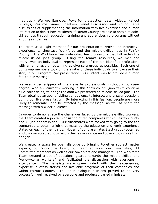methods - We Are Exercise, PowerPoint statistical data, Videos, Kahoot Surveys, Résumé Game, Speakers, Panel Discussion and Round Table discussions of supplementing the information with live exercises and human interaction to depict how residents of Fairfax County are able to obtain middleskilled jobs through education, training and apprenticeship programs without a four year degree.

The team used eight methods for our presentation to provide an interactive experience to showcase Workforce and the middle-skilled jobs in Fairfax County. The Workforce Team identified ten professions that fall within the middle-skilled jobs group. Using the team's resources, we met and interviewed an individual to represent each of the ten identified professions with an emphasis on obtaining as diverse a group as possible. Each one of our group members took on the avatar of these individuals to showcase their story in our Program Day presentation. Our intent was to provide a human feel to our message.

We used video snippets of interviews by professionals, without a four-year degree, who are currently working in this "new-collar" (non-white collar or blue-collar fields) to bridge the data we presented on middle-skilled jobs. The Team obtained an app. enabling our audience to interact and answer questions during our live presentation. By interacting in this fashion, people are more likely to remember and be affected by the message, as well as share the message with a wider audience.

In order to demonstrate the challenges faced by the middle-skilled workers, the Team created a job fair consisting of ten companies within Fairfax County and 40 job opportunities. Our classmates were tasked with going to the ten companies to obtain a job that matched the education and work experience stated on each of their cards. Not all of our classmates (test group) obtained a job, some accepted jobs below their salary range and others took more than one job.

We created a space for open dialogue by bringing together subject matter experts, our Workforce Team, our team advisors, our classmates, LFI Committee members as well as our coworkers and managers. The Workforce Team created a set of questions geared towards the middle-skilled and "yellow-collar workers" and facilitated the discussion with everyone in attendance. The panelists were open-minded with their experiences, expertise, success stories and available programs at their companies and within Fairfax County. The open dialogue sessions proved to be very successful, well received by everyone and produced varied mindsets.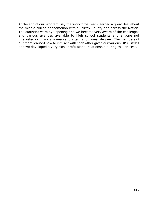At the end of our Program Day the Workforce Team learned a great deal about the middle-skilled phenomenon within Fairfax County and across the Nation. The statistics were eye opening and we became very aware of the challenges and various avenues available to high school students and anyone not interested or financially unable to attain a four-year degree. The members of our team learned how to interact with each other given our various DISC styles and we developed a very close professional relationship during this process.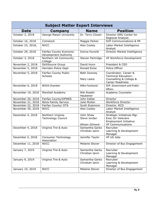<span id="page-7-0"></span>

| <b>Subject Matter Expert Interviews</b> |                                                  |                                              |                                                                                                             |  |  |  |
|-----------------------------------------|--------------------------------------------------|----------------------------------------------|-------------------------------------------------------------------------------------------------------------|--|--|--|
| <b>Date</b>                             | Company                                          | <b>Name</b>                                  | <b>Position</b>                                                                                             |  |  |  |
| October 3, 2018                         | George Mason University                          | Dr. Terry Clower                             | Director GMU Center for<br>Regional Analysis                                                                |  |  |  |
| October 16, 2018                        | Comstock                                         | Maggie Parker                                | <b>SVP Communications &amp; PR</b>                                                                          |  |  |  |
| October 23, 2018,                       | <b>NVCC</b>                                      | Alex Cooley                                  | Labor Market Intelligence<br>Analyst                                                                        |  |  |  |
| October 29, 2018                        | Fairfax County Economic<br>Development Authority | Donna Hurwitt                                | Director Market Intelligence                                                                                |  |  |  |
| October 3, 2018                         | Northern VA Community<br>College                 | Steven Partridge                             | VP Workforce Development                                                                                    |  |  |  |
| November 2, 2018                        | <b>SkillSource Group</b>                         | David Hunn                                   | President & CEO                                                                                             |  |  |  |
| November 5, 2018                        | Herndon Police Dept                              | <b>Ronald Eicke</b>                          | Police Officer                                                                                              |  |  |  |
| November 5, 2018                        | <b>Fairfax County Public</b><br>Schools          | Beth Downey<br>Mary Lewis                    | Coordinator, Career &<br>Technical Education;<br>Counselling & College &<br><b>Career Readiness</b>         |  |  |  |
| November 6, 2018                        | <b>NOVA Chamber</b>                              | Mike Forehand                                | SVP, Government and Public<br><b>Affairs</b>                                                                |  |  |  |
| November 19, 2018                       | Marshall Academy                                 | Niki Rosett-<br>Haubener                     | Academy Counselor                                                                                           |  |  |  |
| November 20, 2018                       | Fairfax County/DPWES                             | John Kellas                                  | Director                                                                                                    |  |  |  |
| November 21, 2018                       | NoVa Family Service                              | Julie Mullen                                 | Workforce Director                                                                                          |  |  |  |
| November 22, 2018                       | Fairfax County/ DTA                              | Scott Sizemore                               | Director, RCD                                                                                               |  |  |  |
| November 30, 2018                       | <b>NVCC</b>                                      | Alex Cooley                                  | Labor Market Intelligence<br>Analyst                                                                        |  |  |  |
| December 4, 2018                        | Northern Virginia<br><b>Technology Council</b>   | John Shaw<br>Steve Jordan<br>Allison Gilmore | Strategic Initiatives Mgr.<br><b>Exec Dir Veterans</b><br>Employment Initiative<br><b>VP Communications</b> |  |  |  |
| December 4, 2018                        | Virginia Tire & Auto                             | Samantha Garko<br>Christian Ianni            | Recruiter<br>Learning & Development<br>Manager                                                              |  |  |  |
| December 5, 2018                        | Consumer Technology<br>Association               | Jennifer Taylor                              | VP US Jobs                                                                                                  |  |  |  |
| December 11, 2018                       | <b>NVCC</b>                                      | Melanie Stover                               | Director of Bus Engagement                                                                                  |  |  |  |
| January 7, 2019                         | Virginia Tire & Auto                             | Samantha Garko<br>Christian Ianni            | Recruiter<br>Learning & Development<br>Manager                                                              |  |  |  |
| January 9, 2019                         | Virginia Tire & Auto                             | Samantha Garko<br>Christian Ianni            | Recruiter<br>Learning & Development<br>Manager                                                              |  |  |  |
| January 10, 2019                        | <b>NVCC</b>                                      | Melanie Stover                               | Director of Bus Engagement                                                                                  |  |  |  |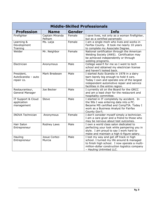<span id="page-8-0"></span>

| <b>Middle-Skilled Professionals</b>             |                           |        |                                                                                                                                                                                                                    |  |  |
|-------------------------------------------------|---------------------------|--------|--------------------------------------------------------------------------------------------------------------------------------------------------------------------------------------------------------------------|--|--|
| <b>Profession</b>                               | <b>Name</b>               | Gender | <b>Info</b>                                                                                                                                                                                                        |  |  |
| Firefighter                                     | Captain Miranda<br>Pelham | Female | I save lives, not only as a woman firefighter,<br>but as a certified paramedic                                                                                                                                     |  |  |
| Learning &<br>Development<br>Training           | Ms. Laija                 | Female | I am a single mom who lives and works in<br>Fairfax County. It took me nearly 10 years<br>to complete my Associate Degree.                                                                                         |  |  |
| Welder                                          | Mr. Neighbor              | Female | National certification through the American<br>Welding Society (AWS). Certification may<br>be achieved independently or through<br>welding programs.                                                               |  |  |
| Electrician                                     | Anonymous                 | Male   | College wasn't for me so I went to tech<br>school and obtained my electrician license<br>and haven't looked back.                                                                                                  |  |  |
| President,<br>AutoScandia - auto<br>repair co.  | Mark Bredesen             | Male   | I started Auto Scandia in 1978 in a dairy<br>barn barely big enough to hold 4 cars.<br>Today I own and operate one of the largest<br>independent automotive repair and service<br>facilities in the entire region. |  |  |
| Restauranteur,<br>General Manager               | Joe Becker                | Male   | I currently sit on the Board for the GRCC<br>and am a lead chair for the restaurant and<br>hospitality committee.                                                                                                  |  |  |
| IT Support & Cloud<br>application<br>management | <b>Steve</b>              | Male   | I started in IT completely by accident. In<br>the 90s I was entering data into a PC.<br>Became MS certified and CompTIA. Today I<br>work as a Business Analyst for Fairfax<br>County Gov't.                        |  |  |
| <b>INOVA Technician</b>                         | Anonymous                 | Female | I don't consider myself simply a technician.<br>I am a care giver and a friend to those who<br>may be nervous about test outcomes.                                                                                 |  |  |
| Hair Salon<br>Entrepreneur                      | Rodney Laws               | Male   | I own a world class salon dedicated to<br>perfecting your look while pampering you in<br>style. I am proud to say I work hard to<br>make and maintain a high 6-figure salary.                                      |  |  |
| Hauling<br>Entrepreneur                         | Josue Cortez-<br>Murcia   | Male   | I lost my way and got off track in high<br>school. I turned my life around & managed<br>to finish high school. I now operate a multi-<br>million-dollar construction logistics company<br>- Hauling Unlimited LLC. |  |  |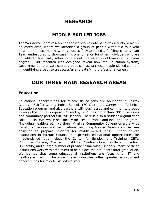# **RESEARCH**

## **MIDDLE-SKILLED JOBS**

<span id="page-9-1"></span><span id="page-9-0"></span>The Workforce Team researched the workforce data of Fairfax County, a highly educated area, where we identified a group of people without a four-year degree and discerned how they successfully attained a fulfilling career. Our Team endeavored to showcase this phenomenon for other individuals who are not able to financially afford or are not interested in obtaining a four-year degree. Our research was designed reveal how the Education system, Government and private sector groups can assist these middle-skilled workers in identifying a path to a successful and satisfying professional career.

# **OUR THREE MAIN RESEARCH AREAS**

#### <span id="page-9-3"></span><span id="page-9-2"></span>**Education**

Educational opportunities for middle-skilled jobs are abundant in Fairfax County. Fairfax County Public Schools (FCPS) runs a Career and Technical Education program and also partners with businesses and community groups through the Ignite program. Currently, FCPS has more than 300 businesses and community partners in 198 schools. There is also a student organization called Skills USA, which specifically focuses on trades and industrial programs (including healthcare). Northern Virginia Community College offers a wide variety of degrees and certifications, including Applied Associate's Degrees designed to prepare students for middle-skilled jobs. Other private institutions in Fairfax County that provide educational opportunities for middle-skilled jobs include the Center for Employment Training (CET), Columbia College, MedTech Institute, Sanford-Brown College, Stratford University, and a large number of private cosmetology schools. Many of these institutions work with employers to help place their students after graduation. We learned that some educational institutions are focusing on IT and healthcare training because these industries offer greater employment opportunities for middle-skilled workers.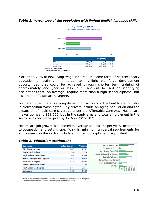

#### *Table 1: Percentage of the population with limited English language skills*

More than 70% of new living-wage jobs require some form of postsecondary education or training. In order to highlight workforce development opportunities that could be achieved through shorter term training of approximately one year or less, our analysis focused on identifying occupations that, on average, require more than a high school diploma, but less than an Associate's Degree.

We determined there is strong demand for workers in the healthcare industry in Metropolitan Washington. Key drivers include an aging population and the expansion of healthcare coverage under the Affordable Care Act. Healthcare makes up nearly 198,000 jobs in the study area and total employment in the sector is expected to grow by 12% in 2016-2021.

Healthcare job growth is expected to average at least 1% per year. In addition to occupation and setting specific skills, minimum universal requirements for employment in the sector include a high school diploma or equivalent.

| Education                   | <b>Fairfax County</b> | <b>Virginia</b> |
|-----------------------------|-----------------------|-----------------|
| 8th Grade or Less           | 367                   | 3,751           |
| Some High School            | 20                    | 776             |
| <b>High School Grad/GED</b> | 203                   | 5,909           |
| Some College/2-Yr Degree    | 243                   | 4,046           |
| <b>Bachelor's Degree</b>    | 413                   | 2,804           |
| Some Graduate School        | 11                    | 28              |
| <b>Post Graduate Degree</b> | 246                   | 1,256           |
| <b>Unknown</b>              | 132                   | 3,128           |

#### *Table 2: Education attainment*

Source: Virginia Employment Commission, Economic Information & Analytics, Characteristics of the Insured Unemployed, September 2018.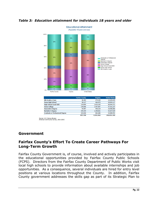

#### *Table 3: Education attainment for individuals 18 years and older*

|                                        | <b>Fairfax County</b> | <b>Virginia</b> | <b>United States</b> |
|----------------------------------------|-----------------------|-----------------|----------------------|
| 8th Grade or Less                      | 36,302                | 275,329         | 12,639,425           |
| <b>Some High School</b>                | 38,127                | 464,075         | 20,093,117           |
| <b>High School Grad/GED</b>            | 119,895               | 1,633,105       | 68,044,371           |
| <b>Some College</b>                    | 139,006               | 1,457,887       | 57,431,237           |
| <b>Associate's Degree</b>              | 44.987                | 440.219         | 18,586,866           |
| <b>Bachelor's Degree</b>               | 255,345               | 1,258,661       | 42,027,629           |
| <b>Graduate or Professional Degree</b> | 224,046               | 862,686         | 24,008.551           |
|                                        | 857.708               | 6,391,962       | 242,831,196          |

Source: U.S. Census Bureau<br>American Community Survey, 2011-2015.

#### <span id="page-11-0"></span>**Government**

#### **Fairfax County's Effort To Create Career Pathways For Long-Term Growth**

Fairfax County Government is, of course, involved and actively participates in the educational opportunities provided by Fairfax County Public Schools (FCPS). Directors from the Fairfax County Department of Public Works visit local high schools to provide information about available internships and job opportunities. As a consequence, several individuals are hired for entry level positions at various locations throughout the County. In addition, Fairfax County government addresses the skills gap as part of its Strategic Plan to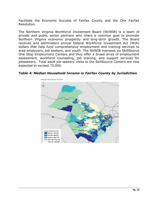Facilitate the Economic Success of Fairfax County and the One Fairfax Resolution.

The Northern Virginia Workforce Investment Board (NVWIB) is a team of private and public sector partners who share a common goal to promote Northern Virginia economic prosperity and long-term growth. The Board receives and administers annual federal Workforce Investment Act (WIA) dollars that help fund comprehensive employment and training services to area employers, job seekers, and youth. The NVWIB oversees six SkillSource One Stop Employment Centers and they offer a broad array of employment assessment, workforce counseling, job training, and support services for jobseekers. Total adult job seekers' visits to the SkillSource Centers are now expected to exceed 75,000.



*Table 4: Median Household Income in Fairfax County by Jurisdiction*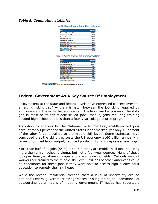#### *Table 5: Commuting statistics*

| <b>Area</b>                | <b>Workers</b> |
|----------------------------|----------------|
| District of Columbia, DC   | 76,330         |
| Arlington County, VA       | 39,980         |
| Loudoun County, VA         | 29,189         |
| Alexandria city, VA        | 29,005         |
| Montgomery County, MD      | 18.765         |
| Prince William County, VA  | 16,134         |
| Fairfax city, VA           | 9,846          |
| Prince George's County, MD | 8,777          |
| Falls Church city, VA      | 3,898          |
| Henrico County, VA         | 3.684          |

Top 10 Places Residents are Commuting To

#### Top 10 Places Workers are Commuting From

| Area                       | <b>Workers</b> |
|----------------------------|----------------|
| Loudoun County, VA         | 64,999         |
| Prince William County, VA  | 63.261         |
| Arlington County, VA       | 27,215         |
| Montgomery County, MD      | 21.591         |
| Prince George's County, MD | 18,483         |
| Alexandria city, VA        | 17,611         |
| District of Columbia, DC   | 16,495         |
| Stafford County, VA        | 8,973          |
| Fauquier County, VA        | 7,286          |
| Spotsylvania County, VA    | 5.900          |
|                            |                |

Source: U.S. Census Bureau,<br>OnTheMap Application and LEHD Origin-Destination Employment Statistics, 2014.

#### **Federal Government As A Key Source Of Employment**

Policymakers at the state and federal levels have expressed concern over the emerging "skills gap"  $-$  the mismatch between the job skills required by employers and the skills that applicants in the labor market possess. The skills gap is most acute for middle-skilled jobs; that is, jobs requiring training beyond high school but less than a four-year college degree program.

According to analysis by the National Skills Coalition, middle-skilled jobs account for 53 percent of the United States labor market, yet only 43 percent of the labor force is trained to the middle-skill level. Some estimates have concluded that the skills gap costs the US economy \$160 billion annually in terms of unfilled labor output, reduced productivity, and depressed earnings.

More than half of all jobs (54%) in the US today are middle-skill jobs requiring more than a high school diploma, but not a four-year degree. Many of these jobs pay family-sustaining wages and are in growing fields. Yet only 44% of workers are trained to the middle-skill level. Millions of other Americans could be candidates for these jobs if they were able to access high-quality adult education to remedy their skill gaps.

While the recent Presidential election casts a level of uncertainty around potential Federal government hiring freezes or budget cuts, the dominance of outsourcing as a means of meeting government IT needs has reportedly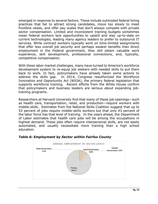emerged in response to several factors. These include outmoded federal hiring practices that fail to attract strong candidates, move too slowly to meet frontline needs, and offer pay scales that don't always compete with private sector compensation. Limited and inconsistent training budgets sometimes mean federal workers lack opportunities to upskill and stay up-to-date on current technologies, leading many agency leaders to prefer to outsource IT services. While contract workers typically work on time-limited assignments that offer less overall job security and perhaps weaker benefits than direct employment in the Federal government, they still obtain valuable work experience, skill development, professional connections, and, typically, competitive compensation.

With these labor market challenges, many have turned to America's workforce development system to re-equip job seekers with needed skills to put them back to work. In fact, policymakers have already taken some actions to address the skills gap. In 2014, Congress reauthorized the Workforce Innovation and Opportunity Act (WIOA), the primary federal legislation that supports workforce training. Recent efforts from the White House confirm that policymakers and business leaders are serious about expanding jobtraining programs.

Researchers at Harvard University find that many of these job openings—such as health care, transportation, retail, and production—require workers with middle-skills. Estimates from the National Skills Coalition suggest that up to 53 percent of jobs require middle-skills workers but that only 43 percent of the labor force has that level of training. In the years ahead, the Department of Labor estimates that health care jobs will be among the occupations in highest demand. These jobs often require interpersonal skills, are not easily automated, and usually necessitate more training than a high school education.



#### *Table 6: Employment by Sector within Fairfax County*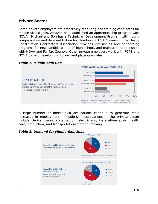#### <span id="page-15-0"></span>**Private Sector**

Some private employers are proactively recruiting and training candidates for middle-skilled jobs. Amazon has established an apprenticeship program with NOVA. Michael and Son has a Technician Development Program with hourly compensation and deferred tuition for plumbing or HVAC training. The Heavy Construction Contractors Association provides internships and onboarding programs for new candidates out of high school, and maintains relationships with NOVA and Fairfax County. Other private employers work with FCPS and NOVA to help develop curriculum and place graduates.



#### *Table 7: Middle-Skill Gap*

A large number of middle-skill occupations continue to generate rapid increases in employment. Middle-skill occupations in the private sector include clerical, sales, construction, electricians, installation/repair, health care, production, and transportation/material moving.

# *Table 8: Demand for Middle-Skill Jobs*

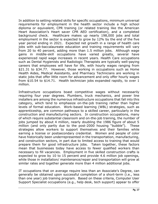In addition to setting related skills for specific occupations, minimum universal requirements for employment in the health sector include a high school diploma or equivalent, CPR training (or related training like the American Heart Association's Heart saver CPR AED certification), and a completed background check. Healthcare makes up nearly 198,000 jobs and total employment in the sector is expected to grow by 12% by the end of the five year period ending in 2021. Expected net growth in a range of health care jobs with sub-baccalaureate education and training requirements will vary from 20 to 40 percent, adding more than 1.5 million jobs. Although wage gains in middle-skill occupations have varied greatly, several have experienced rapid wage increases in recent years. Health Care occupations such as Dental Hygienists and Radiologic Therapists are typically well-paying careers that employees will have for life, with hourly wages ranging from \$21.31 to \$34.77. However, those working in occupations such as Home Health Aides, Medical Assistants, and Pharmacy Technicians are working in static jobs that offer little room for advancement and only offer hourly wages from \$10.54 to \$14.71. Health technician jobs expanded rapidly, to over 1 million.

Infrastructure occupations boast competitive wages without necessarily requiring four year degrees. Plumbers, truck mechanics, and power line installers are among the numerous infrastructure occupations that fall into this category, which tend to emphasize on-the-job training rather than higher levels of formal education. Work-based learning (WBL) strategies, such as apprenticeship, are common pathways to a skilled career, particularly in the construction and manufacturing sectors. In construction occupations, many of which require substantial classroom and on-the-job training, the number of jobs jumped by about 4 million, nearly doubling the 1986 figure of about 5 million (and only partly due to the post-2000 housing "bubble"). These strategies allow workers to support themselves and their families while earning a license or postsecondary credential. Women and people of color have historically been underrepresented in the transportation, manufacturing, and construction sectors, in part due to limited access to training that would prepare them for good infrastructure jobs. Taken together, these factors mean that businesses today have access to fewer qualified workers than necessary to fill vacancies. Employment in five skilled construction crafts is expected to grow by 10 to 15 percent and provide 4.6 million job openings, while those in installation/ maintenance/repair and transportation will grow at similar rates and together generate more than 4 million additional jobs.

IT occupations that on average require less than an Associate's Degree, can generally be obtained upon successful completion of a short-term (i.e., less than one year) job training program. Based on these criteria, Computer User Support Specialist occupations (e.g., help desk, tech support) appear to offer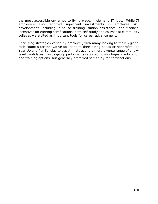the most accessible on-ramps to living wage, in-demand IT jobs. While IT employers also reported significant investments in employee skill development, including in-house training, tuition assistance, and financial incentives for earning certifications, both self-study and courses at community colleges were cited as important tools for career advancement.

Recruiting strategies varied by employer, with many looking to their regional tech councils for innovative solutions to their hiring needs or nonprofits like Year Up and Per Scholas to assist in attracting a more diverse range of entrylevel candidates. Focus group participants reported no shortages in education and training options, but generally preferred self-study for certifications.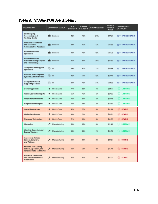#### *Table 9: Middle-Skill Job Stability*

| <b>OCCUPATION</b>                                                                           | <b>OCUPATION FAMILY</b>     | <b>JOB</b><br><b>STABILITY</b> | <b>CAREER</b><br><b>STABILITY</b> | <b>ADVANCEMENT</b> | <b>MEDIAN</b><br><b>HOURLY</b><br><b>WAGE</b> | <b>OPPORTUNITY</b><br><b>CATEGORY</b> |
|---------------------------------------------------------------------------------------------|-----------------------------|--------------------------------|-----------------------------------|--------------------|-----------------------------------------------|---------------------------------------|
| Bookkeeping.<br>Accounting, and<br><b>Auditing Clerks</b>                                   | <b>Business</b>             | 42%                            | 79%                               | 24%                | \$17.91                                       | <b>SPRINGBOARD</b><br>×               |
| <b>Executive Secretaries</b><br>and Executive<br><b>Administrative Assistants</b>           | <b>Business</b>             | 39%                            | 70%                               | 12%                | \$25.66                                       | <b>SPRINGBOARD</b><br>┳               |
| <b>Human Resources</b><br><b>Specialists</b>                                                | <b>Business</b>             | 43%                            | 72%                               | 16%                | \$28.06                                       | <b>SPRINGBOARD</b><br>冨               |
| <b>Human Resources</b><br><b>Assistants, Except Payroll</b><br>and Timekeeping              | <b>Business</b>             | 30%                            | 81%                               | 38%                | \$18.32                                       | <b>SPRINGBOARD</b><br>ਛ               |
| <b>Computer User Support</b><br><b>Specialists</b>                                          | 脃<br>IT                     | 39%                            | 60%                               | 21%                | \$23.38                                       | <b>SPRINGBOARD</b><br>ਛ               |
| <b>Network and Computer</b><br><b>Systems Administrators</b>                                | 脃<br>$\mathsf{I}$           | 42%                            | 71%                               | 13%                | \$37.41                                       | <b>SPRINGBOARD</b><br>ਛ               |
| <b>Computer Network</b><br><b>Support Specialists</b>                                       | 脃<br>IT                     | 34%                            | 72%                               | 31%                | \$29.93                                       | <b>SPRINGBOARD</b><br>寰               |
| <b>Dental Hygienists</b>                                                                    | Health Care<br>۰            | 77%                            | 83%                               | 1%                 | \$34.77                                       | <b>LIFETIME</b><br>U)                 |
| <b>Radiologic Technologists</b>                                                             | ۰<br>Health Care            | 65%                            | 76%                               | 6%                 | \$27.25                                       | ☑<br><b>LIFETIME</b>                  |
| <b>Respiratory Therapists</b>                                                               | ۰<br>Health Care            | 72%                            | 81%                               | 6%                 | \$27.78                                       | <b>LIFETIME</b><br>Ø                  |
| <b>Surgical Technologists</b>                                                               | Health Care<br>۰            | 55%                            | 68%                               | 5%                 | \$21.31                                       | ☑<br><b>LIFETIME</b>                  |
| <b>Home Health Aides</b>                                                                    | <b>Health Care</b><br>۰     | 42%                            | 57%                               | 6%                 | \$10.54                                       | ∞<br><b>STATIC</b>                    |
| <b>Medical Assistants</b>                                                                   | ۰<br><b>Health Care</b>     | 48%                            | 61%                               | 9%                 | \$14.71                                       | 0<br><b>STATIC</b>                    |
| <b>Pharmacy Technicians</b>                                                                 | <b>Health Care</b>          | 52%                            | 60%                               | 6%                 | \$14.62                                       | <b>STATIC</b><br>(O)                  |
| <b>Machinists</b>                                                                           | ≁<br>Manufacturing          | 53%                            | 65%                               | 3%                 | \$19.49                                       | <b>LIFETIME</b><br>U                  |
| Welding, Soldering, and<br><b>Brazing Workers</b>                                           | ⊁<br>Manufacturing          | 55%                            | 63%                               | 2%                 | \$18.23                                       | <b>LIFETIME</b><br>Ø                  |
| Inspectors, Testers,<br>sorters, samplers,<br>and Weighers                                  | $\frac{1}{2}$ Manufacturing | 39%                            | 44%                               | 2%                 | \$17.31                                       | STATIC                                |
| <b>Machine Tool Cutting</b><br>Setters, Operators, and<br><b>Tenders, Metal and Plastic</b> | Manufacturing<br>୵          | 43%                            | 59%                               | 8%                 | \$15.79                                       | <b>STATIC</b><br>∞                    |
| <b>Electrical, Electronics,</b><br>and Electromechanical<br><b>Assemblers</b>               | Manufacturing               | 31%                            | 40%                               | 3%                 | \$15.07                                       | <b>STATIC</b>                         |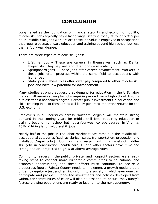# **CONCLUSION**

<span id="page-19-0"></span>Long hailed as the foundation of financial stability and economic mobility, middle-skill jobs typically pay a living wage, starting today at roughly \$15 per hour. Middle-Skill jobs workers are those individuals employed in occupations that require postsecondary education and training beyond high school but less than a four-year degree.

There are three types of middle-skill jobs:

- Lifetime jobs These are careers in themselves, such as Dental Hygienists. They pay well and offer long-term stability.
- Springboard jobs These jobs offer career advancement. Workers in these jobs often progress within the same field to occupations with higher pay.
- Static jobs These roles offer lower pay compared to other middle-skill jobs and have low potential for advancement.

Many studies strongly suggest that demand for education in the U.S. labor market will remain strong for jobs requiring more than a high school diploma but less than a bachelor's degree. Greater public investments in education and skills training in all of these areas will likely generate important returns for the U.S. economy.

Employers in all industries across Northern Virginia will maintain strong demand in the coming years for middle-skill jobs, requiring education or training beyond high school but not a four-year college degree. In Virginia, 46% of hiring is for middle-skill jobs.

Nearly half of the jobs in the labor market today remain in the middle-skill occupational categories (such as clerical, sales, transportation, production and installation/repair jobs). Job growth and wage growth in a variety of middleskill jobs in construction, health care, IT and other sectors have remained strong and are projected to grow at above-average rates.

Community leaders in the public, private, and nonprofit sectors are already taking steps to connect more vulnerable communities to educational and economic opportunities, and these efforts must continue. To secure a prosperous future, Fairfax County needs to implement a growth model that is driven by equity – just and fair inclusion into a society in which everyone can participate and prosper. Concerted investments and policies developed from within, for communities of color will also be essential to ensure the County's fastest-growing populations are ready to lead it into the next economy.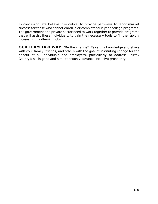In conclusion, we believe it is critical to provide pathways to labor market success for those who cannot enroll in or complete four-year college programs. The government and private sector need to work together to provide programs that will assist these individuals, to gain the necessary tools to fill the rapidly increasing middle-skill jobs.

<span id="page-20-0"></span>**OUR TEAM TAKEWAY:** "Be the change" Take this knowledge and share with your family, friends, and others with the goal of instituting change for the benefit of all individuals and employers, particularly to address Fairfax County's skills gaps and simultaneously advance inclusive prosperity.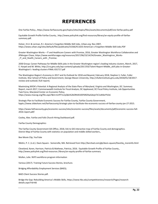# **REFERENCES**

<span id="page-21-0"></span>One Fairfax Policy., https://www.fairfaxcounty.gov/topics/sites/topics/files/assets/documents/pdf/one-fairfax-policy.pdf

Equitable Growth Profile Fairfax County., http://www.policylink.org/find-resources/library/an-equity-profile-of-fairfaxsummary.pdf.

Holzer, H>J> & Lerman, R.I. America's Forgotten Middle-Skill Jobs, Urban.org. Nov 2007, https://www.urban.org/sites/default/files/publicatio/31566/411633-American-s-Forgotten-Middle-Skill-Jobs.PDF

Greater-Washington-Works – IT and Healthcare Careers with Promise, 2016, Greater Washington Workforce Collaborative and JPMorgan Chase, https://www.workforcegps.org/resources/2017/06/23/14/54/Greater\_Washingtron\_Works-\_IT\_and\_Health\_Careers\_with \_Promise.

2030 Group: Career Pathways for Middle-Skills jobs in the Greater Washington region's leading industry clusters, March, 2017, E. Harpel and M. White[, http://cra.gmu.edu/wp-content/uploads/2017/03/Talent-Report-Middle\\_skill-jobs-in-Greater-](http://cra.gmu.edu/wp-content/uploads/2017/03/Talent-Report-Middle_skill-jobs-in-Greater-Washington)Washington's [-leading-clusters-FINAL-031717.pdf](http://cra.gmu.edu/wp-content/uploads/2017/03/Talent-Report-Middle_skill-jobs-in-Greater-Washington)

The Washington Region's Economy in 2017 and Its Outlook for 2018 and Beyond, February 2018, Stephen S. Fuller, Fuller Institute, Shar School of Policy and Government, George Mason University, [http://sfullerinstitute.gmu.edu/2018/01/18/2017](http://sfullerinstitute.gmu.edu/2018/01/18/2017-review-and-outlook/) [review-and-outlook/](http://sfullerinstitute.gmu.edu/2018/01/18/2017-review-and-outlook/) (full report).

Maximizing WIOA's Potential: A Regional Analysis of the State Plans of Maryland, Virginia and Washington, DC: Summary Report, march 2017, Commonwealth Institute for Fiscal Analysis, DC Appleseed, DC Fiscal Policy Institute, Job Opportunities Task Force, Maryland Center on Economic Policy, [https://www.mwcog.org/file.aspx?&A=nUrfF7zcJyQ6x%2bORtAfsXDF6RZXwGdvjeTJC1xKI6eY%3d.](https://www.mwcog.org/file.aspx?&A=nUrfF7zcJyQ6x%2bORtAfsXDF6RZXwGdvjeTJC1xKI6eY%3d)

Strategic Plan to Facilitate Economic Success for Fairfax County, Fairfax County Government, hppts://www.slideshare.net/fairfaxcounty/strategic-plan-to-facilitate-the-economic-success-of-fairfax-county-jan-27-2015.

https://www.faifraxcounty.gov/economic-success/sites/economic-success/files/assets/documents/pdf/economic-success-fall-2016-report.pdf/

Cooley, Alex. Fairfax and Falls Church Hiring Dashboard.pdf.

Fairfax County Demographics

The Fairfax County Government GIS Office, 2018, link to GIS interactive map of Fairfax County and demographics. District Map of Fairfax County with statistics on population and middle skilled workers.,

Bee Movie Clip, YouTube

Nikitin, P. C. (n.d.). Davis Square - Somerville, MA. Retrieved from [http://bershad.com/gb/davis-square/DavisSq\\_moreinfo.html](http://bershad.com/gb/davis-square/DavisSq_moreinfo.html)

Cleveland, Karen, Harrison, Patricia & Mathews, Patricia, 2016. Equitable Growth Profile of Fairfax County., [http://www.policylink.org/f](http://www.policylink.org/)ind-resources /library/an-equity-profile-of-fairfax-summary

Mullen, Julie. NVFS workforce program information

Various (2017). Training Future Success Stories, brochure.

Bridging Affordability Employment Services (BAES);

BAES Client Success Stories.pdf.

Bridge the Gap: Rebuilding America's Middle Skills, [https://www.hbs.edu/competitiveness/research/Pages/research](https://www.hbs.edu/competitiveness/research/Pages/research-details.aspx?rid=66)[details.aspx?rid=66](https://www.hbs.edu/competitiveness/research/Pages/research-details.aspx?rid=66)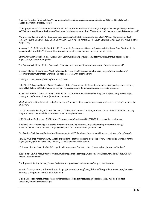Virginia's Forgotten Middle, [https://www.nationalskillscoalition.org/resources/publications/2017-middle-skills-fact](https://www.nationalskillscoalition.org/resources/publications/2017-middle-skills-fact-sheets/file/Virginia-MiddleSkills.pdf)[sheets/file/Virginia-MiddleSkills.pdf](https://www.nationalskillscoalition.org/resources/publications/2017-middle-skills-fact-sheets/file/Virginia-MiddleSkills.pdf)

Dr. Harpel, Ellen, 2017. Career Pathways for middle-skill jobs in the Greater Washington Region's Leading Industry Clusters. NVTC Greater Washington Technology Workforce Needs Assessment., http://www.nvtc.org/documents/ NeedsAssessment.pdf.

Workforce and passing a bill:, <https://www.congress.gov/bill/115th-congress/house-bill/3174/text> - Congress.gov; Text - H.R.3174 - 115th Congress, 2017-2018: CHANCE in TECH Act; Text for H.R.3174 - 115th Congress (2017-2018): CHANCE in TECH Act (221 kB).

Andrews, N. O., & McHale, B., 2014, July 22. Community Development Needs a Quarterback. Retrieved from Stanford Social Innovation Review: [http://ssir.org/articles/entry/community\\_development\\_needs\\_a\\_quarterback.](http://ssir.org/articles/entry/community_development_needs_a_quarterback)

Community Quarterback. (n.d.)., Purpose Built Communities: http://purposebuiltcommunities.org/our-approach/leadorganization/Partners in Progress:

The Quarterback Model. (n.d.)., Partners in Progress: <http://partnersinprogressproject.org/quarterback-model/>

Chase, JP Morgan & Co. Greater Washington Works IT and Health Careers with Promise., [https://www.issuelab.org/](https://www.issuelab.org/%20resource/greater-washington-works-it-and-health-careers-with-promise.html)  [resource/greater-washington-works-it-and-health-careers-with-promise.html](https://www.issuelab.org/%20resource/greater-washington-works-it-and-health-careers-with-promise.html)

Training Futures: nvfs.org/trainingfutures, brochure.

Holly Biehl, College and Career Center Specialist - [\(https://southcountyhs.fcps.edu/student-services/college-career-center\)](https://southcountyhs.fcps.edu/student-services/college-career-center) Edison High School 201[8 alternative](https://edisonacademy.fcps.edu/resources/jobs-graduates) career fair[: https://edisonacademy.fcps.edu/resources/jobs-graduates](https://edisonacademy.fcps.edu/resources/jobs-graduates)

Heavy Construction Contractors Association- HCCA. Ken Garrison, Executive Director [\(kgarrison@hcca.net\)](mailto:kgarrison@hcca.net); Ari Henrique, Training and Safety Coordinator [\(ahenrique@hcca.net\)](mailto:ahenrique@hcca.net).

[NOVA Workforce Development Hosts Cybersecurity Employer,](https://www.nvcc.edu/news/featured-articles/cybersecurity-employer.html) [https://www.nvcc.edu/news/featured-articles/cybersecurity](https://www.nvcc.edu/news/featured-articles/cybersecurity-employer)[employer.](https://www.nvcc.edu/news/featured-articles/cybersecurity-employer)..

The Cybersecurity Employer Roundtable was a collaboration between Dr. Margaret Leary, head of the NOVA Cybersecurity Program, Leary's team and the NOVA Workforce Development team.

[HIRE Education Conference -](https://blogs.nvcc.edu/workforce/2017/12/13/hire-education-conference/) NVCC, [https://blogs.nvcc.edu/workforce/2017/12/13/hire-education-conference.](https://blogs.nvcc.edu/workforce/2017/12/13/hire-education-conference)

Webinar | How Modern Apprenticeship Programs Are Serving Veterans., [https://center4apprenticeship.jff.org/](https://center4apprenticeship.jff.org/%20resources)  [resources/](https://center4apprenticeship.jff.org/%20resources)webinar-how-modern..[. https://www.youtube.com/watch?v=QhbAEemz2GE.](https://www.youtube.com/watch?v=QhbAEemz2GE)

[Certification, Training, and Professional Development -](https://blogs.nvcc.edu/workforce/page/3/) NVCC, Retrieved from [https://blogs.nvcc.edu/workforce/page/3.](https://blogs.nvcc.edu/workforce/page/3)

[How NOVA, Prince William County Landfill are working Together to create a pipeline of new construction workings for the](file:///C:/Users/The%20Goutams/Desktop/How%20NOVA,%20Prince%20William%20County%20Landfill%20are%20working%20Together%20to%20create%20a%20pipeline%20of%20new%20construction%20workins%20for%20the%20region)  [region.,](file:///C:/Users/The%20Goutams/Desktop/How%20NOVA,%20Prince%20William%20County%20Landfill%20are%20working%20Together%20to%20create%20a%20pipeline%20of%20new%20construction%20workins%20for%20the%20region)[https://potomaclocal.com/2017/11/13/nova-prince-william-county.](https://potomaclocal.com/2017/11/13/nova-prince-william-county)

US Bureau of Labor Statistics 2018 Occupational Employment Statistics.[, http://www.epi.org/resources/ budget/](http://www.epi.org/resources/%20budget/)

2018 Fairfax Co. GIS Map, [http://fairfaxcountygis.maps.arcgis.com/apps/webappviewer/index.html?id=a2633d2f7bb64](http://fairfaxcountygis.maps.arcgis.com/apps/webappviewer/index.html?id=a2633d2f7bb64%20c06b9d4bb3ef5b93bd9)  [c06b9d4bb3ef5b93bd9](http://fairfaxcountygis.maps.arcgis.com/apps/webappviewer/index.html?id=a2633d2f7bb64%20c06b9d4bb3ef5b93bd9)

Employment Sector[, https://www.fairfaxcounty.gov/economic-success/employment-sector](https://www.fairfaxcounty.gov/economic-success/employment-sector)

America's Forgotten Middle-Skill Jobs, [https://www.urban.org/sites/default/files/publication/31566/411633-](https://www.urban.org/sites/default/files/publication/31566/411633-America-s-Forgotten-Middle-Skill-Jobs.PDF) [America-s-Forgotten-Middle-Skill-Jobs.PDF](https://www.urban.org/sites/default/files/publication/31566/411633-America-s-Forgotten-Middle-Skill-Jobs.PDF)

Middle Skill jobs by State, https://www.nationalskillscoalition.org/resources/publications/2017-middle-skills-factsheets/file/Virginia-MiddleSkills.pdf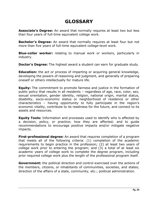# **GLOSSARY**

<span id="page-23-0"></span>**Associate's Degree:** An award that normally requires at least two but less than four years of full-time equivalent college work.

**Bachelor's Degree:** An award that normally requires at least four but not more than five years of full-time equivalent college-level work.

**Blue-collar worker:** relating to manual work or workers, particularly in industry.

**Doctor's Degree:** The highest award a student can earn for graduate study.

**Education:** the act or process of imparting or acquiring general knowledge, developing the powers of reasoning and judgment, and generally of preparing oneself or others intellectually for mature life.

**Equity:** The commitment to promote fairness and justice in the formation of public policy that results in all residents – regardless of age, race, color, sex, sexual orientation, gender identity, religion, national origin, marital status, disability, socio-economic status or neighborhood of residence or other characteristics – having opportunity to fully participate in the region's economic vitality, contribute to its readiness for the future, and connect to its assets and resources.

**Equity Tools:** Information and processes used to identify who is affected by a decision, policy, or practice; how they are affected; and to guide recommendations to encourage positive impacts and/or mitigate negative impacts.

**First-professional degree:** An award that requires completion of a program that meets all of the following criteria: (1) completion of the academic requirements to begin practice in the profession; (2) at least two years of college work prior to entering the program; and (3) a total of at least six academic years of college work to complete the degree program, including prior required college work plus the length of the professional program itself.

**Government:** the political direction and control exercised over the actions of the members, citizens, or inhabitants of communities, societies, and states; direction of the affairs of a state, community, etc.; political administration.